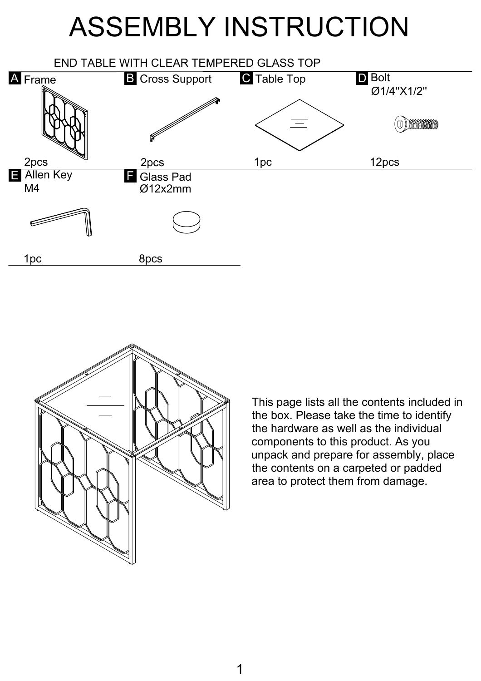## ASSEMBLY INSTRUCTION





This page lists all the contents included in the box. Please take the time to identify the hardware as well as the individual components to this product. As you unpack and prepare for assembly, place the contents on a carpeted or padded area to protect them from damage.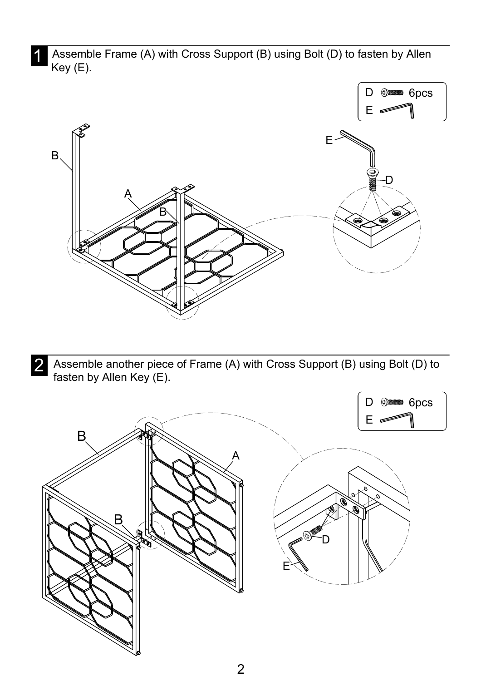Assemble Frame (A) with Cross Support (B) using Bolt (D) to fasten by Allen Key (E).



2 Assemble another piece of Frame (A) with Cross Support (B) using Bolt (D) to<br>factor hy Allen Kay (F) fasten by Allen Key (E).